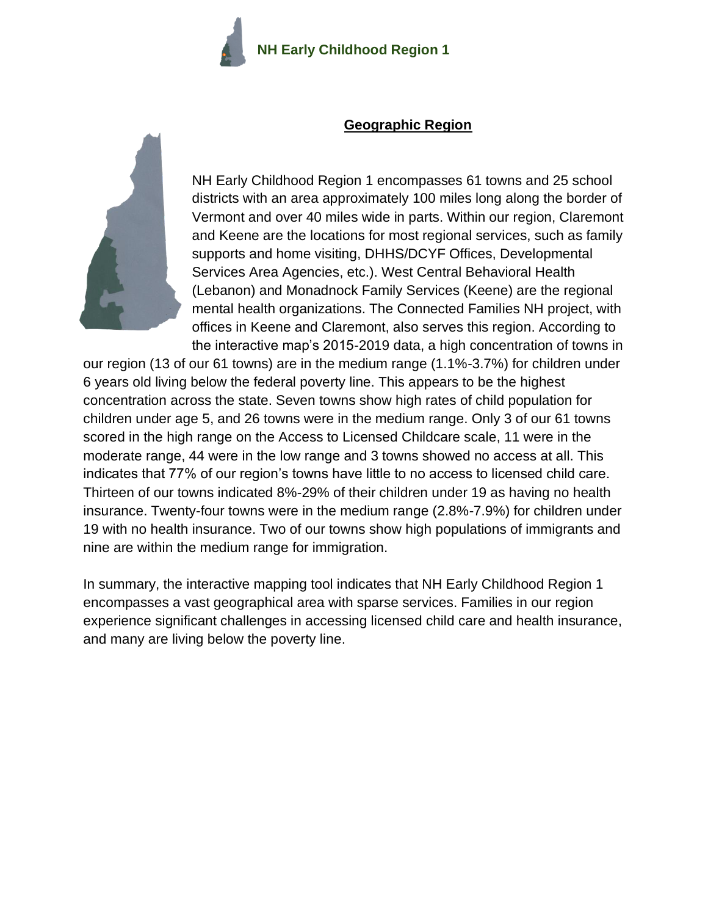

#### **Geographic Region**



NH Early Childhood Region 1 encompasses 61 towns and 25 school districts with an area approximately 100 miles long along the border of Vermont and over 40 miles wide in parts. Within our region, Claremont and Keene are the locations for most regional services, such as family supports and home visiting, DHHS/DCYF Offices, Developmental Services Area Agencies, etc.). West Central Behavioral Health (Lebanon) and Monadnock Family Services (Keene) are the regional mental health organizations. The Connected Families NH project, with offices in Keene and Claremont, also serves this region. According to the interactive map's 2015-2019 data, a high concentration of towns in

our region (13 of our 61 towns) are in the medium range (1.1%-3.7%) for children under 6 years old living below the federal poverty line. This appears to be the highest concentration across the state. Seven towns show high rates of child population for children under age 5, and 26 towns were in the medium range. Only 3 of our 61 towns scored in the high range on the Access to Licensed Childcare scale, 11 were in the moderate range, 44 were in the low range and 3 towns showed no access at all. This indicates that 77% of our region's towns have little to no access to licensed child care. Thirteen of our towns indicated 8%-29% of their children under 19 as having no health insurance. Twenty-four towns were in the medium range (2.8%-7.9%) for children under 19 with no health insurance. Two of our towns show high populations of immigrants and nine are within the medium range for immigration.

In summary, the interactive mapping tool indicates that NH Early Childhood Region 1 encompasses a vast geographical area with sparse services. Families in our region experience significant challenges in accessing licensed child care and health insurance, and many are living below the poverty line.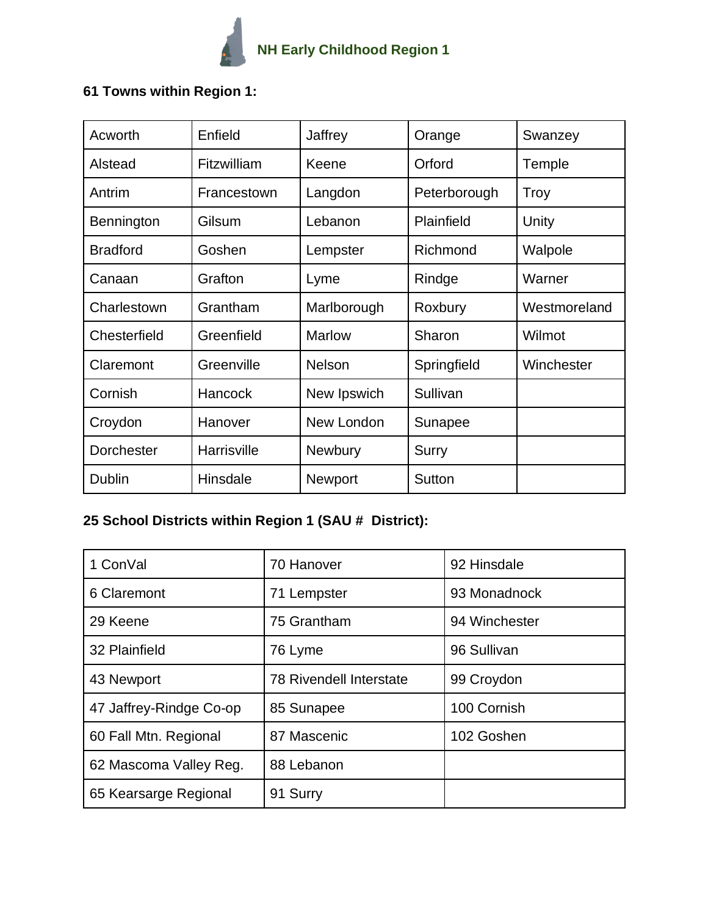

## **61 Towns within Region 1:**

| Acworth         | Enfield     | Jaffrey        | Orange       | Swanzey      |
|-----------------|-------------|----------------|--------------|--------------|
| Alstead         | Fitzwilliam | Keene          | Orford       | Temple       |
| Antrim          | Francestown | Langdon        | Peterborough | Troy         |
| Bennington      | Gilsum      | Lebanon        | Plainfield   | Unity        |
| <b>Bradford</b> | Goshen      | Lempster       | Richmond     | Walpole      |
| Canaan          | Grafton     | Lyme           | Rindge       | Warner       |
| Charlestown     | Grantham    | Marlborough    | Roxbury      | Westmoreland |
| Chesterfield    | Greenfield  | <b>Marlow</b>  | Sharon       | Wilmot       |
| Claremont       | Greenville  | <b>Nelson</b>  | Springfield  | Winchester   |
| Cornish         | Hancock     | New Ipswich    | Sullivan     |              |
| Croydon         | Hanover     | New London     | Sunapee      |              |
| Dorchester      | Harrisville | <b>Newbury</b> | <b>Surry</b> |              |
| <b>Dublin</b>   | Hinsdale    | Newport        | Sutton       |              |

# **25 School Districts within Region 1 (SAU # District):**

| 1 ConVal                | 70 Hanover                     | 92 Hinsdale   |
|-------------------------|--------------------------------|---------------|
| 6 Claremont             | 71 Lempster                    | 93 Monadnock  |
| 29 Keene                | 75 Grantham                    | 94 Winchester |
| 32 Plainfield           | 76 Lyme                        | 96 Sullivan   |
| 43 Newport              | <b>78 Rivendell Interstate</b> | 99 Croydon    |
| 47 Jaffrey-Rindge Co-op | 85 Sunapee                     | 100 Cornish   |
| 60 Fall Mtn. Regional   | 87 Mascenic                    | 102 Goshen    |
| 62 Mascoma Valley Reg.  | 88 Lebanon                     |               |
| 65 Kearsarge Regional   | 91 Surry                       |               |